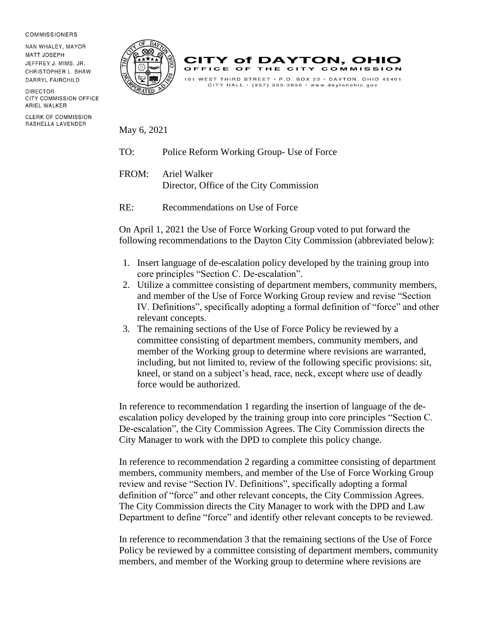## **COMMISSIONERS**

NAN WHALEY, MAYOR **MATT JOSEPH** JEFFREY J. MIMS, JR. CHRISTOPHER L. SHAW DARRYL FAIRCHILD

DIRECTOR CITY COMMISSION OFFICE ARIEL WALKER

**CLERK OF COMMISSION** RASHELLA LAVENDER





May 6, 2021

- TO: Police Reform Working Group- Use of Force
- FROM: Ariel Walker Director, Office of the City Commission
- RE: Recommendations on Use of Force

On April 1, 2021 the Use of Force Working Group voted to put forward the following recommendations to the Dayton City Commission (abbreviated below):

- 1. Insert language of de-escalation policy developed by the training group into core principles "Section C. De-escalation".
- 2. Utilize a committee consisting of department members, community members, and member of the Use of Force Working Group review and revise "Section IV. Definitions", specifically adopting a formal definition of "force" and other relevant concepts.
- 3. The remaining sections of the Use of Force Policy be reviewed by a committee consisting of department members, community members, and member of the Working group to determine where revisions are warranted, including, but not limited to, review of the following specific provisions: sit, kneel, or stand on a subject's head, race, neck, except where use of deadly force would be authorized.

In reference to recommendation 1 regarding the insertion of language of the deescalation policy developed by the training group into core principles "Section C. De-escalation", the City Commission Agrees. The City Commission directs the City Manager to work with the DPD to complete this policy change.

In reference to recommendation 2 regarding a committee consisting of department members, community members, and member of the Use of Force Working Group review and revise "Section IV. Definitions", specifically adopting a formal definition of "force" and other relevant concepts, the City Commission Agrees. The City Commission directs the City Manager to work with the DPD and Law Department to define "force" and identify other relevant concepts to be reviewed.

In reference to recommendation 3 that the remaining sections of the Use of Force Policy be reviewed by a committee consisting of department members, community members, and member of the Working group to determine where revisions are